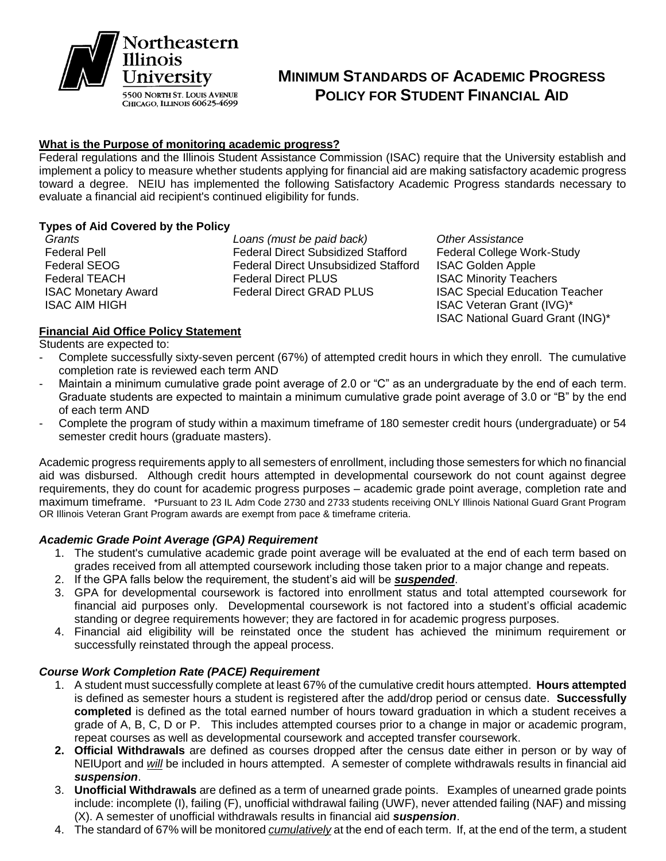

# **MINIMUM STANDARDS OF ACADEMIC PROGRESS POLICY FOR STUDENT FINANCIAL AID**

### **What is the Purpose of monitoring academic progress?**

Federal regulations and the Illinois Student Assistance Commission (ISAC) require that the University establish and implement a policy to measure whether students applying for financial aid are making satisfactory academic progress toward a degree. NEIU has implemented the following Satisfactory Academic Progress standards necessary to evaluate a financial aid recipient's continued eligibility for funds.

# **Types of Aid Covered by the Policy**

*Grants Loans (must be paid back) Other Assistance* Federal Pell Federal Direct Subsidized Stafford Federal College Work-Study Federal SEOG Federal Direct Unsubsidized Stafford ISAC Golden Apple Federal TEACH Federal Direct PLUS ISAC Minority Teachers ISAC Monetary Award Federal Direct GRAD PLUS ISAC Special Education Teacher

**ISAC AIM HIGH ISAC Veteran Grant (IVG)\* ISAC Veteran Grant (IVG)\*** ISAC National Guard Grant (ING)\*

# **Financial Aid Office Policy Statement**

Students are expected to:

- Complete successfully sixty-seven percent (67%) of attempted credit hours in which they enroll. The cumulative completion rate is reviewed each term AND
- Maintain a minimum cumulative grade point average of 2.0 or "C" as an undergraduate by the end of each term. Graduate students are expected to maintain a minimum cumulative grade point average of 3.0 or "B" by the end of each term AND
- Complete the program of study within a maximum timeframe of 180 semester credit hours (undergraduate) or 54 semester credit hours (graduate masters).

Academic progress requirements apply to all semesters of enrollment, including those semesters for which no financial aid was disbursed. Although credit hours attempted in developmental coursework do not count against degree requirements, they do count for academic progress purposes – academic grade point average, completion rate and maximum timeframe. \*Pursuant to 23 IL Adm Code 2730 and 2733 students receiving ONLY Illinois National Guard Grant Program OR Illinois Veteran Grant Program awards are exempt from pace & timeframe criteria.

#### *Academic Grade Point Average (GPA) Requirement*

- 1. The student's cumulative academic grade point average will be evaluated at the end of each term based on grades received from all attempted coursework including those taken prior to a major change and repeats.
- 2. If the GPA falls below the requirement, the student's aid will be *suspended*.
- 3. GPA for developmental coursework is factored into enrollment status and total attempted coursework for financial aid purposes only. Developmental coursework is not factored into a student's official academic standing or degree requirements however; they are factored in for academic progress purposes.
- 4. Financial aid eligibility will be reinstated once the student has achieved the minimum requirement or successfully reinstated through the appeal process.

## *Course Work Completion Rate (PACE) Requirement*

- 1. A student must successfully complete at least 67% of the cumulative credit hours attempted. **Hours attempted** is defined as semester hours a student is registered after the add/drop period or census date. **Successfully completed** is defined as the total earned number of hours toward graduation in which a student receives a grade of A, B, C, D or P. This includes attempted courses prior to a change in major or academic program, repeat courses as well as developmental coursework and accepted transfer coursework.
- **2. Official Withdrawals** are defined as courses dropped after the census date either in person or by way of NEIUport and *will* be included in hours attempted. A semester of complete withdrawals results in financial aid *suspension*.
- 3. **Unofficial Withdrawals** are defined as a term of unearned grade points. Examples of unearned grade points include: incomplete (I), failing (F), unofficial withdrawal failing (UWF), never attended failing (NAF) and missing (X). A semester of unofficial withdrawals results in financial aid *suspension*.
- 4. The standard of 67% will be monitored *cumulatively* at the end of each term. If, at the end of the term, a student